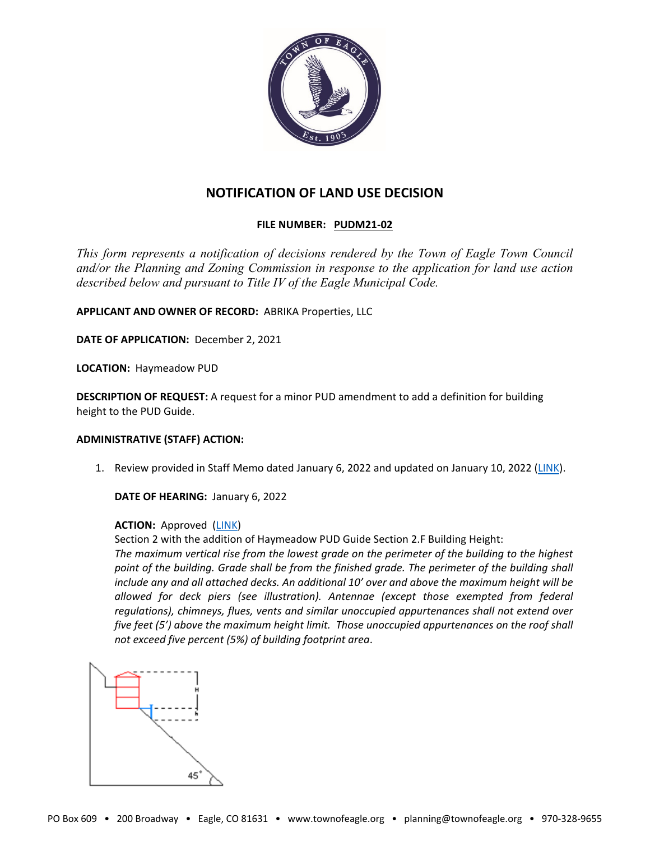

# **NOTIFICATION OF LAND USE DECISION**

## **FILE NUMBER: PUDM21-02**

*This form represents a notification of decisions rendered by the Town of Eagle Town Council and/or the Planning and Zoning Commission in response to the application for land use action described below and pursuant to Title IV of the Eagle Municipal Code.*

**APPLICANT AND OWNER OF RECORD:** ABRIKA Properties, LLC

**DATE OF APPLICATION:** December 2, 2021

**LOCATION:** Haymeadow PUD

**DESCRIPTION OF REQUEST:** A request for a minor PUD amendment to add a definition for building height to the PUD Guide.

### **ADMINISTRATIVE (STAFF) ACTION:**

1. Review provided in Staff Memo dated January 6, 2022 and updated on January 10, 2022 [\(LINK\)](https://www.townofeagle.org/DocumentCenter/View/17156/Staff-Memo-Haymeadow-Minor-Amendment?bidId=).

**DATE OF HEARING:** January 6, 2022

### **ACTION:** Approved [\(LINK\)](https://www.townofeagle.org/DocumentCenter/View/17151/Haymeadow-Minor-PUD-Amendment-12-23-21?bidId=)

Section 2 with the addition of Haymeadow PUD Guide Section 2.F Building Height:

*The maximum vertical rise from the lowest grade on the perimeter of the building to the highest point of the building. Grade shall be from the finished grade. The perimeter of the building shall include any and all attached decks. An additional 10' over and above the maximum height will be allowed for deck piers (see illustration). Antennae (except those exempted from federal regulations), chimneys, flues, vents and similar unoccupied appurtenances shall not extend over five feet (5') above the maximum height limit. Those unoccupied appurtenances on the roof shall not exceed five percent (5%) of building footprint area*.